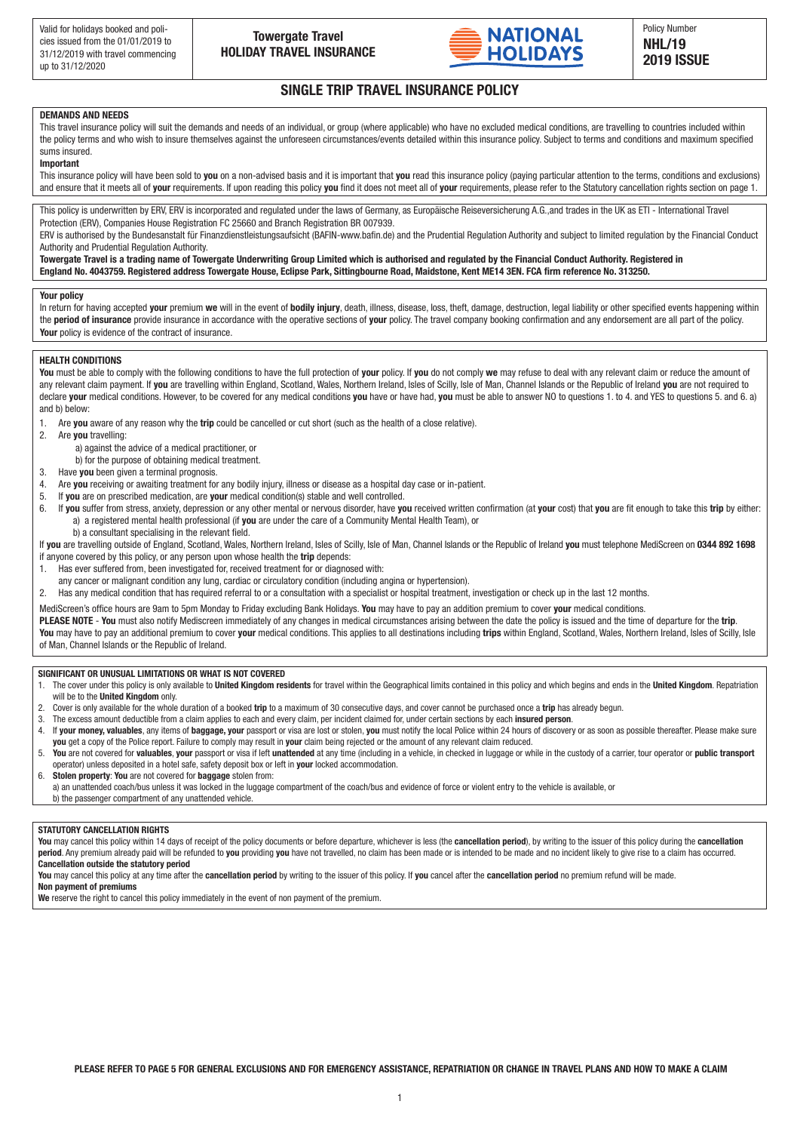

deposit only £15)

#### SINGLE TRIP TRAVEL INSURANCE POLICY terms and who wish to insure themselves against the unforeseen circumstances/events detailed within this insurance policy. Subject to terms and conditions and maximum specified sums insured.

# **DEMANDS AND NEEDS**

This travel insurance policy will suit the demands and needs of an individual, or group (where applicable) who have no excluded medical conditions, are travelling to countries included within the policy terms and who wish to insure themselves against the unforeseen circumstances/events detailed within this insurance policy. Subject to terms and conditions and maximum specified sums insured.

### **Important**

This insurance policy will have been sold to you on a non-advised basis and it is important that you read this insurance policy (paying particular attention to the terms, conditions and exclusions) and ensure that it meets all of **your** requirements. If upon reading this policy **you** find it does not meet all of **your** requirements, please refer to the Statutory cancellation rights section on page 1.

This policy is underwritten by ERV, ERV is incorporated and regulated under the laws of Germany, as Europäische Reiseversicherung A.G., and trades in the UK as ETI - International Travel Protection (ERV), Companies House Registration FC 25660 and Branch Registration BR 007939.

ERV is authorised by the Bundesanstalt für Finanzdienstleistungsaufsicht (BAFIN-www.bafin.de) and the Prudential Regulation Authority and subject to limited regulation by the Financial Conduct Authority and Prudential Regulation Authority. **Summary of cover and excesses per insured person** (please see overleaf for full details of cover, limitations and excesses for each **insured person**)

**Towergate Travel is a trading name of Towergate Underwriting Group Limited which is authorised and regulated by the Financial Conduct Authority. Registered in Section and cover Limits Excess** England No. 4043759. Registered address Towergate House, Eclipse Park, Sittingbourne Road, Maidstone, Kent ME14 3EN. FCA firm reference No. 313250.

#### **Your policy**

In return for having accepted your premium we will in the event of bodily injury, death, illness, disease, loss, theft, damage, destruction, legal liability or other specified events happening within the period of insurance provide insurance in accordance with the operative sections of your policy. The travel company booking confirmation and any endorsement are all part of the policy. **Your** policy is evidence of the contract of insurance. Up to £100 in England, Scotland and Wales, £300 for Isle of Man, Channel Islands and Europe No excess

# **HEALTH CONDITIONS**

You must be able to comply with the following conditions to have the full protection of your policy. If you do not comply we may refuse to deal with any relevant claim or reduce the amount of any relevant claim payment. If you are travelling within England, Scotland, Wales, Northern Ireland, Isles of Scilly, Isle of Man, Channel Islands or the Republic of Ireland you are not required to declare **your** medical conditions. However, to be covered for any medical conditions **you** have or have had, **you** must be able to answer NO to questions 1. to 4. and YES to questions 5. and 6. a) and b) below:

- and by boom.<br>1. Are **you** aware of any reason why the **trip** could be cancelled or cut short (such as the health of a close relative).
- 2. Are **you** travelling:
	- a) against the advice of a medical practitioner, or  $p_{\rm f}$
- b) for the purpose of obtaining medical treatment.  $\mathsf{nt}$  . The  $\mathsf{200}$  including loss or the  $\mathsf{200}$
- 3. Have you been given a terminal prognosis.
- 4. Are you receiving or awaiting treatment for any bodily injury, illness or disease as a hospital day case or in-patient.
- 5. If **you** are on prescribed medication, are **your** medical condition(s) stable and well controlled.

**DEMANDS AND NEEDS**

**IMPORTANT** 

- 6. If you suffer from stress, anxiety, depression or any other mental or nervous disorder, have you received written confirmation (at your cost) that you are fit enough to take this trip by either: a) a registered mental health professional (if you are under the care of a Community Mental Health Team), or
- b) a consultant specialising in the relevant field.

If **you** are travelling outside of England, Scotland, Wales, Northern Ireland, Isles of Scilly, Isle of Man, Channel Islands or the Republic of Ireland **you** must telephone MediScreen on **0344 892 1698** if anyone covered by this policy, or any person upon whose health the *trip* depends:

- 1. Has ever suffered from, been investigated for, received treatment for or diagnosed with:
- any cancer or malignant condition any lung, cardiac or circulatory condition (including angina or hypertension).
- 2. Has any medical condition that has required referral to or a consultation with a specialist or hospital treatment, investigation or check up in the last 12 months.

MediScreen's office hours are 9am to 5pm Monday to Friday excluding Bank Holidays. **You** may have to pay an addition premium to cover **your** medical conditions.

5. If **you** suffer from stress, anxiety, depression or any other mental or nervous disorder, it must be investigated as such by either:

PLEASE NOTE - You must also notify Mediscreen immediately of any changes in medical circumstances arising between the date the policy is issued and the time of departure for the trip. You may have to pay an additional premium to cover your medical conditions. This applies to all destinations including trips within England, Scotland, Wales, Northern Ireland, Isles of Scilly, Isle of Man, Channel Islands or the Republic of Ireland.

# SIGNIFICANT OR UNUSUAL LIMITATIONS OR WHAT IS NOT COVERED **that in the state of the state of the state**

- who has confirmed in writing (at **your** cost) that **you** are fit enough to take this **trip**. 1. The cover under this policy is only available to **United Kingdom residents** for travel within the Geographical limits contained in this policy and which begins and ends in the United Kingdom. Repatriation 892 1698 if anyone covered by this policy, or any person upon whose health the **trip** depends: will be to the **United Kingdom** only.
- 2. Cover is only available for the whole duration of a booked **trip** to a maximum of 30 consecutive days, and cover cannot be purchased once a **trip** has already begun.
- a) any cancer or malignant condition 3. The excess amount deductible from a claim applies to each and every claim, per incident claimed for, under certain sections by each **insured person**.
- 4. If your money, valuables, any items of baggage, your passport or visa are lost or stolen, you must notify the local Police within 24 hours of discovery or as soon as possible thereafter. Please make sure **you** get a copy of the Police report. Failure to comply may result in **your** claim being rejected or the amount of any relevant claim reduced.
- 5. You are not covered for valuables, your passport or visa if left unattended at any time (including in a vehicle, in checked in luggage or while in the custody of a carrier, tour operator or public transport operator) unless deposited in a hotel safe, safety deposit box or left in **your** locked accommodation.
- 6. Stolen property: You are not covered for baggage stolen from:
- 1 a) an unattended coach/bus unless it was locked in the luggage compartment of the coach/bus and evidence of force or violent entry to the vehicle is available, or b) the passenger compartment of any unattended vehicle.

# **STATUTORY CANCELLATION RIGHTS**

You may cancel this policy within 14 days of receipt of the policy documents or before departure, whichever is less (the cancellation period), by writing to the issuer of this policy during the cancellation **period**. Any premium already paid will be refunded to **you** providing **you** have not travelled, no claim has been made or is intended to be made and no incident likely to give rise to a claim has occurred. **Cancellation outside the statutory period**

**You** may cancel this policy at any time after the **cancellation period** by writing to the issuer of this policy. If **you** cancel after the **cancellation period** no premium refund will be made.

**Non payment of premiums**

We reserve the right to cancel this policy immediately in the event of non payment of the premium.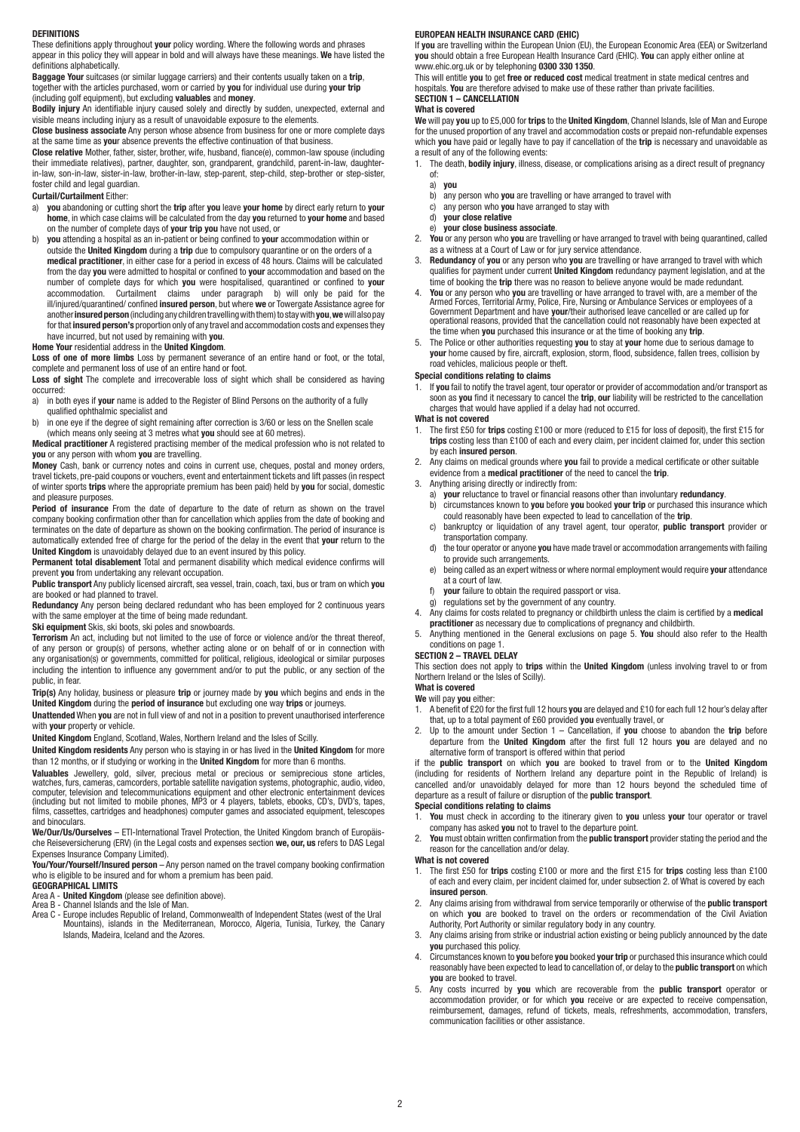#### **DEFINITIONS**

These definitions apply throughout **your** policy wording. Where the following words and phrases appear in this policy they will appear in bold and will always have these meanings. **We** have listed the definitions alphabetically.

**Baggage Your** suitcases (or similar luggage carriers) and their contents usually taken on a **trip**, together with the articles purchased, worn or carried by **you** for individual use during **your trip** (including golf equipment), but excluding **valuables** and **money**.

**Bodily injury** An identifiable injury caused solely and directly by sudden, unexpected, external and visible means including injury as a result of unavoidable exposure to the elements.

**Close business associate** Any person whose absence from business for one or more complete days at the same time as **you**r absence prevents the effective continuation of that business.

**Close relative** Mother, father, sister, brother, wife, husband, fiance(e), common-law spouse (including their immediate relatives), partner, daughter, son, grandparent, grandchild, parent-in-law, daughterin-law, son-in-law, sister-in-law, brother-in-law, step-parent, step-child, step-brother or step-sister, foster child and legal guardian.

# **Curtail/Curtailment** Either:

- a) **you** abandoning or cutting short the **trip** after **you** leave **your home** by direct early return to **your home**, in which case claims will be calculated from the day **you** returned to **your home** and based on the number of complete days of **your trip you** have not used, or
- b) **you** attending a hospital as an in-patient or being confined to **your** accommodation within or outside the **United Kingdom** during a **trip** due to compulsory quarantine or on the orders of a **medical practitioner**, in either case for a period in excess of 48 hours. Claims will be calculated from the day **you** were admitted to hospital or confined to **your** accommodation and based on the number of complete days for which **you** were hospitalised, quarantined or confined to **your** accommodation. Curtailment claims under paragraph b) will only be paid for the ill/injured/quarantined/ confined **insured person**, but where **we** or Towergate Assistance agree for another **insured person** (including any children travelling with them) to stay with **you**, **we** will also pay for that **insured person's** proportion only of any travel and accommodation costs and expenses they have incurred, but not used by remaining with **you**.

# **Home Your** residential address in the **United Kingdom**.

**Loss of one of more limbs** Loss by permanent severance of an entire hand or foot, or the total, complete and permanent loss of use of an entire hand or foot.

**Loss of sight** The complete and irrecoverable loss of sight which shall be considered as having occurred:

- a) in both eyes if **your** name is added to the Register of Blind Persons on the authority of a fully qualified ophthalmic specialist and
- b) in one eye if the degree of sight remaining after correction is 3/60 or less on the Snellen scale (which means only seeing at 3 metres what **you** should see at 60 metres).

**Medical practitioner** A registered practising member of the medical profession who is not related to **you** or any person with whom **you** are travelling.

**Money** Cash, bank or currency notes and coins in current use, cheques, postal and money orders, travel tickets, pre-paid coupons or vouchers, event and entertainment tickets and lift passes (in respect of winter sports **trips** where the appropriate premium has been paid) held by **you** for social, domestic and pleasure purposes.

**Period of insurance** From the date of departure to the date of return as shown on the travel company booking confirmation other than for cancellation which applies from the date of booking and terminates on the date of departure as shown on the booking confirmation. The period of insurance is automatically extended free of charge for the period of the delay in the event that **your** return to the **United Kingdom** is unavoidably delayed due to an event insured by this policy.

**Permanent total disablement** Total and permanent disability which medical evidence confirms will prevent **you** from undertaking any relevant occupation.

**Public transport** Any publicly licensed aircraft, sea vessel, train, coach, taxi, bus or tram on which **you** are booked or had planned to travel.

**Redundancy** Any person being declared redundant who has been employed for 2 continuous years<br>with the same employer at the time of being made redundant.

**Ski equipment** Skis, ski boots, ski poles and snowboards.

**Terrorism** An act, including but not limited to the use of force or violence and/or the threat thereof, of any person or group(s) of persons, whether acting alone or on behalf of or in connection with any organisation(s) or governments, committed for political, religious, ideological or similar purposes including the intention to influence any government and/or to put the public, or any section of the public, in fear.

**Trip(s)** Any holiday, business or pleasure **trip** or journey made by **you** which begins and ends in the **United Kingdom** during the **period of insurance** but excluding one way **trips** or journeys.

**Unattended** When **you** are not in full view of and not in a position to prevent unauthorised interference with **your** property or vehicle.

**United Kingdom** England, Scotland, Wales, Northern Ireland and the Isles of Scilly.

**United Kingdom residents** Any person who is staying in or has lived in the **United Kingdom** for more than 12 months, or if studying or working in the **United Kingdom** for more than 6 months.

**Valuables** Jewellery, gold, silver, precious metal or precious or semiprecious stone articles, watches, furs, cameras, camcorders, portable satellite navigation systems, photographic, audio, video, computer, television and telecommunications equipment and other electronic entertainment devices (including but not limited to mobile phones, MP3 or 4 players, tablets, ebooks, CD's, DVD's, tapes, films, cassettes, cartridges and headphones) computer games and associated equipment, telescopes and binoculars.

**We/Our/Us/Ourselves** – ETI-International Travel Protection, the United Kingdom branch of Europäische Reiseversicherung (ERV) (in the Legal costs and expenses section **we, our, us** refers to DAS Legal Expenses Insurance Company Limited).

**You/Your/Yourself/Insured person** – Any person named on the travel company booking confirmation who is eligible to be insured and for whom a premium has been paid.

# **GEOGRAPHICAL LIMITS**

- 
- Area A **United Kingdom** (please see definition above).<br>Area B Channel Islands and the Isle of Man.<br>Area C Europe includes Republic of Ireland, Commonwealth of Independent States (west of the Ural<br>Area C Europe incl Islands, Madeira, Iceland and the Azores.

#### **EUROPEAN HEALTH INSURANCE CARD (EHIC)**

If **you** are travelling within the European Union (EU), the European Economic Area (EEA) or Switzerland **you** should obtain a free European Health Insurance Card (EHIC). **You** can apply either online at www.ehic.org.uk or by telephoning **0300 330 1350**.

This will entitle **you** to get **free or reduced cost** medical treatment in state medical centres and hospitals. **You** are therefore advised to make use of these rather than private facilities. **SECTION 1 – CANCELLATION**

# **What is covered**

**We** will pay **you** up to £5,000 for **trips** to the **United Kingdom**, Channel Islands, Isle of Man and Europe for the unused proportion of any travel and accommodation costs or prepaid non-refundable expenses which **you** have paid or legally have to pay if cancellation of the **trip** is necessary and unavoidable as a result of any of the following events:

- 1. The death, **bodily injury**, illness, disease, or complications arising as a direct result of pregnancy of:
	- a) **you**
	- any person who you are travelling or have arranged to travel with
	- c) any person who **you** have arranged to stay with d) **your close relative**
	- e) **your close business associate**.
- 2. **You** or any person who **you** are travelling or have arranged to travel with being quarantined, called as a witness at a Court of Law or for jury service attendance.
- 3. **Redundancy** of **you** or any person who **you** are travelling or have arranged to travel with which qualifies for payment under current **United Kingdom** redundancy payment legislation, and at the time of booking the **trip** there was no reason to believe anyone would be made redundant.
- 4. **You** or any person who **you** are travelling or have arranged to travel with, are a member of the Armed Forces, Territorial Army, Police, Fire, Nursing or Ambulance Services or employees of a<br>Government Department and h the time when **you** purchased this insurance or at the time of booking any **trip**.
- 5. The Police or other authorities requesting **you** to stay at **your** home due to serious damage to **your** home caused by fire, aircraft, explosion, storm, flood, subsidence, fallen trees, collision by road vehicles, malicious people or theft.

# **Special conditions relating to claims**

1. If **you** fail to notify the travel agent, tour operator or provider of accommodation and/or transport as soon as **you** find it necessary to cancel the **trip**, **our** liability will be restricted to the cancellation charges that would have applied if a delay had not occurred.

# **What is not covered**

- 1. The first £50 for **trips** costing £100 or more (reduced to £15 for loss of deposit), the first £15 for **trips** costing less than £100 of each and every claim, per incident claimed for, under this section by each **insured person**.
- 2. Any claims on medical grounds where **you** fail to provide a medical certificate or other suitable evidence from a **medical practitioner** of the need to cancel the **trip**.
- Anything arising directly or indirectly from:
	- a) **your** reluctance to travel or financial reasons other than involuntary **redundancy**. b) circumstances known to **you** before **you** booked **your trip** or purchased this insurance which
	- could reasonably have been expected to lead to cancellation of the **trip**. c) bankruptcy or liquidation of any travel agent, tour operator, **public transport** provider or
	- transportation company.<br>
	d) the tour operator or anyo d) the tour operator or anyone **you** have made travel or accommodation arrangements with failing to provide such arrangements.
	- e) being called as an expert witness or where normal employment would require **your** attendance at a court of law.
	- f) **your** failure to obtain the required passport or visa.
	- g) regulations set by the government of any country.
- 4. Any claims for costs related to pregnancy or childbirth unless the claim is certified by a **medical practitioner** as necessary due to complications of pregnancy and childbirth.
- 5. Anything mentioned in the General exclusions on page 5. **You** should also refer to the Health conditions on page 1.

#### **SECTION 2 – TRAVEL DELAY**

This section does not apply to **trips** within the **United Kingdom** (unless involving travel to or from Northern Ireland or the Isles of Scilly).

# **What is covered**

- **We** will pay **you** either:
- 1. A benefit of £20 for the first full 12 hours **you** are delayed and £10 for each full 12 hour's delay after that, up to a total payment of £60 provided **you** eventually travel, or
- 2. Up to the amount under Section 1 Cancellation, if **you** choose to abandon the **trip** before departure from the **United Kingdom** after the first full 12 hours **you** are delayed and no alternative form of transport is offered within that period

if the **public transport** on which **you** are booked to travel from or to the **United Kingdom** (including for residents of Northern Ireland any departure point in the Republic of Ireland) is cancelled and/or unavoidably delayed for more than 12 hours beyond the scheduled time of departure as a result of failure or disruption of the **public transport**.

# **Special conditions relating to claims**

- 1. **You** must check in according to the itinerary given to **you** unless **your** tour operator or travel company has asked **you** not to travel to the departure point.
- 2. **You** must obtain written confirmation from the **public transport** provider stating the period and the reason for the cancellation and/or delay.

**What is not covered**

- 1. The first £50 for **trips** costing £100 or more and the first £15 for **trips** costing less than £100 of each and every claim, per incident claimed for, under subsection 2. of What is covered by each **insured person**.
- 2. Any claims arising from withdrawal from service temporarily or otherwise of the **public transport** on which **you** are booked to travel on the orders or recommendation of the Civil Aviation Authority, Port Authority or similar regulatory body in any country.
- 3. Any claims arising from strike or industrial action existing or being publicly announced by the date **you** purchased this policy.
- 4. Circumstances known to **you** before **you** booked **your trip** or purchased this insurance which could reasonably have been expected to lead to cancellation of, or delay to the **public transport** on which **you** are booked to travel.
- 5. Any costs incurred by **you** which are recoverable from the **public transport** operator or accommodation provider, or for which **you** receive or are expected to receive compensation, reimbursement, damages, refund of tickets, meals, refreshments, accommodation, transfers, communication facilities or other assistance.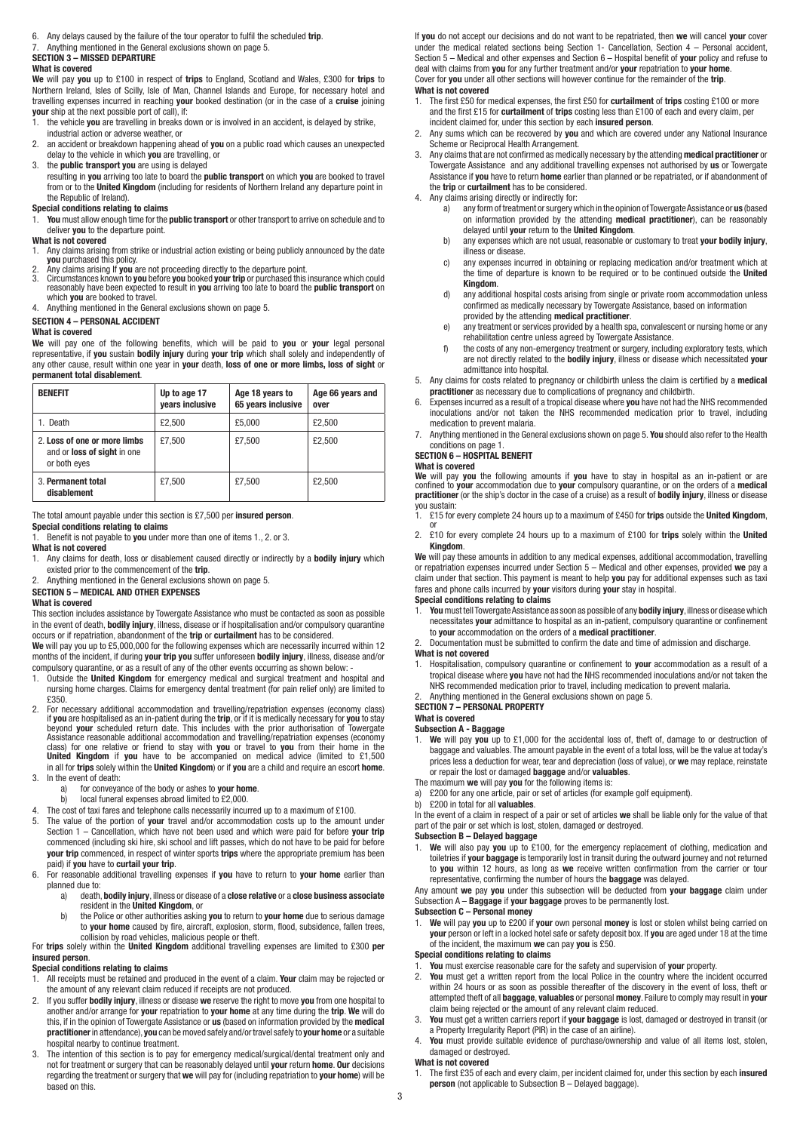- 6. Any delays caused by the failure of the tour operator to fulfil the scheduled **trip**.
- 7. Anything mentioned in the General exclusions shown on page 5.

# **SECTION 3 – MISSED DEPARTURE**

# **What is covered**

**We** will pay **you** up to £100 in respect of **trips** to England, Scotland and Wales, £300 for **trips** to Northern Ireland, Isles of Scilly, Isle of Man, Channel Islands and Europe, for necessary hotel and travelling expenses incurred in reaching **your** booked destination (or in the case of a **cruise** joining **your** ship at the next possible port of call), if:

- 1. the vehicle **you** are travelling in breaks down or is involved in an accident, is delayed by strike, industrial action or adverse weather, or
- 2. an accident or breakdown happening ahead of **you** on a public road which causes an unexpected delay to the vehicle in which **you** are travelling, or
- 3. the **public transport you** are using is delayed

resulting in **you** arriving too late to board the **public transport** on which **you** are booked to travel from or to the **United Kingdom** (including for residents of Northern Ireland any departure point in the Republic of Ireland).

#### **Special conditions relating to claims**

1. **You** must allow enough time for the **public transport** or other transport to arrive on schedule and to deliver **you** to the departure point.

# **What is not covered**

- 1. Any claims arising from strike or industrial action existing or being publicly announced by the date **you** purchased this policy. 2. Any claims arising If **you** are not proceeding directly to the departure point.
- 
- 3. Circumstances known to **you** before **you** booked **your trip** or purchased this insurance which could<br>reasonably have been expected to result in **you** arriving too late to board the **public transport** on which **you** are booked to travel.
- 4. Anything mentioned in the General exclusions shown on page 5.

# **SECTION 4 – PERSONAL ACCIDENT**

# **What is covered**

**We** will pay one of the following benefits, which will be paid to **you** or **your** legal personal representative, if **you** sustain **bodily injury** during **your trip** which shall solely and independently of any other cause, result within one year in **your** death, **loss of one or more limbs, loss of sight** or **permanent total disablement**.

| <b>BENEFIT</b>                                                                     | Up to age 17<br>years inclusive | Age 18 years to<br>65 years inclusive | Age 66 years and<br>over |
|------------------------------------------------------------------------------------|---------------------------------|---------------------------------------|--------------------------|
| 1. Death                                                                           | £2.500                          | £5.000                                | £2.500                   |
| 2. Loss of one or more limbs<br>and or <b>loss of sight</b> in one<br>or both eyes | £7.500                          | £7.500                                | £2.500                   |
| 3. Permanent total<br>disablement                                                  | £7.500                          | £7.500                                | £2.500                   |

The total amount payable under this section is £7,500 per **insured person**.

#### **Special conditions relating to claims**

1. Benefit is not payable to **you** under more than one of items 1., 2. or 3.

# **What is not covered**

- 1. Any claims for death, loss or disablement caused directly or indirectly by a **bodily injury** which existed prior to the commencement of the **trip**.
- 2. Anything mentioned in the General exclusions shown on page 5.

#### **SECTION 5 – MEDICAL AND OTHER EXPENSES**

#### **What is covered**

This section includes assistance by Towergate Assistance who must be contacted as soon as possible in the event of death, **bodily injury**, illness, disease or if hospitalisation and/or compulsory quarantine occurs or if repatriation, abandonment of the **trip** or **curtailment** has to be considered.

**We** will pay you up to £5,000,000 for the following expenses which are necessarily incurred within 12 months of the incident, if during **your trip you** suffer unforeseen **bodily injury**, illness, disease and/or compulsory quarantine, or as a result of any of the other events occurring as shown below: -

- 1. Outside the **United Kingdom** for emergency medical and surgical treatment and hospital and nursing home charges. Claims for emergency dental treatment (for pain relief only) are limited to £350.
- 2. For necessary additional accommodation and travelling/repatriation expenses (economy class)<br>if you are hospitalised as an in-patient during the trip, or if it is medically necessary for you to stay<br>beyond your scheduled Assistance reasonable additional accommodation and travelling/repatriation expenses (economy class) for one relative or friend to stay with **you** or travel to **you** from their home in the **United Kingdom** if **you** have to be accompanied on medical advice (limited to £1,500 in all for **trips** solely within the **United Kingdom**) or if **you** are a child and require an escort **home**.
- 3. In the event of death:
- a) for conveyance of the body or ashes to **your home**. local funeral expenses abroad limited to £2,000.
- 4. The cost of taxi fares and telephone calls necessarily incurred up to a maximum of £100.
- 5. The value of the portion of **your** travel and/or accommodation costs up to the amount under Section 1 – Cancellation, which have not been used and which were paid for before **your trip** commenced (including ski hire, ski school and lift passes, which do not have to be paid for before **your trip** commenced, in respect of winter sports **trips** where the appropriate premium has been paid) if **you** have to **curtail your trip**.
- 6. For reasonable additional travelling expenses if **you** have to return to **your home** earlier than planned due to:
	- a) death, **bodily injury**, illness or disease of a **close relative** or a **close business associate** resident in the **United Kingdom**, or<br>h) the Police or other authorities asking
	- b) the Police or other authorities asking **you** to return to **your home** due to serious damage to **your home** caused by fire, aircraft, explosion, storm, flood, subsidence, fallen trees,

 collision by road vehicles, malicious people or theft. For **trips** solely within the **United Kingdom** additional travelling expenses are limited to £300 **per insured person**.

# **Special conditions relating to claims**

1. All receipts must be retained and produced in the event of a claim. **Your** claim may be rejected or the amount of any relevant claim reduced if receipts are not produced.

- 2. If you suffer **bodily injury**, illness or disease **we** reserve the right to move **you** from one hospital to another and/or arrange for **your** repatriation to **your home** at any time during the **trip**. **We** will do this, if in the opinion of Towergate Assistance or **us** (based on information provided by the **medical practitioner** in attendance), **you** can be moved safely and/or travel safely to **your home** or a suitable hospital nearby to continue treatment.
- 3. The intention of this section is to pay for emergency medical/surgical/dental treatment only and not for treatment or surgery that can be reasonably delayed until **your** return **home**. **Our** decisions regarding the treatment or surgery that **we** will pay for (including repatriation to **your home**) will be  $\overline{\mathbf{a}}$ sed on this

If **you** do not accept our decisions and do not want to be repatriated, then **we** will cancel **your** cover under the medical related sections being Section 1- Cancellation, Section 4 – Personal accident, Section 5 – Medical and other expenses and Section 6 – Hospital benefit of **your** policy and refuse to deal with claims from **you** for any further treatment and/or **your** repatriation to **your home**. Cover for **you** under all other sections will however continue for the remainder of the **trip**.

#### **What is not covered**

- 1. The first £50 for medical expenses, the first £50 for **curtailment** of **trips** costing £100 or more and the first £15 for **curtailment** of **trips** costing less than £100 of each and every claim, per incident claimed for, under this section by each **insured person**.
- 2. Any sums which can be recovered by **you** and which are covered under any National Insurance Scheme or Reciprocal Health Arrangement.
- 3. Any claims that are not confirmed as medically necessary by the attending **medical practitioner** or Towergate Assistance and any additional travelling expenses not authorised by **us** or Towergate Assistance if **you** have to return **home** earlier than planned or be repatriated, or if abandonment of the **trip** or **curtailment** has to be considered.
- 4. Any claims arising directly or indirectly for:
	- a) any form of treatment or surgery which in the opinion of Towergate Assistance or **us** (based on information provided by the attending **medical practitioner**), can be reasonably delayed until **your** return to the **United Kingdom**.
	- b) any expenses which are not usual, reasonable or customary to treat **your bodily injury**, illness or disease.
- c) any expenses incurred in obtaining or replacing medication and/or treatment which at the time of departure is known to be required or to be continued outside the **United Kingdom**.
	- d) any additional hospital costs arising from single or private room accommodation unless confirmed as medically necessary by Towergate Assistance, based on information provided by the attending **medical practitioner**.
	- e) any treatment or services provided by a health spa, convalescent or nursing home or any rehabilitation centre unless agreed by Towergate Assistance.<br>f) the costs of any non-emergency treatment or surgery, include
	- f) the costs of any non-emergency treatment or surgery, including exploratory tests, which are not directly related to the **bodily injury**, illness or disease which necessitated **your** admittance into hospital.
- 5. Any claims for costs related to pregnancy or childbirth unless the claim is certified by a **medical practitioner** as necessary due to complications of pregnancy and childbirth.
- 6. Expenses incurred as a result of a tropical disease where **you** have not had the NHS recommended inoculations and/or not taken the NHS recommended medication prior to travel, including medication to prevent malaria.
- 7. Anything mentioned in the General exclusions shown on page 5. **You** should also refer to the Health conditions on page 1.

# **SECTION 6 – HOSPITAL BENEFIT**

# **What is covered**

**We** will pay **you** the following amounts if **you** have to stay in hospital as an in-patient or are confined to **your** accommodation due to **your** compulsory quarantine, or on the orders of a **medical**<br>**practitioner** (or the ship's doctor in the case of a cruise) as a result of **bodily injury**, illness or disease

- you sustain: 1. £15 for every complete 24 hours up to a maximum of £450 for **trips** outside the **United Kingdom**, or
- 2. £10 for every complete 24 hours up to a maximum of £100 for **trips** solely within the **United Kingdom**.

**We** will pay these amounts in addition to any medical expenses, additional accommodation, travelling or repatriation expenses incurred under Section 5 – Medical and other expenses, provided **we** pay a claim under that section. This payment is meant to help **you** pay for additional expenses such as taxi fares and phone calls incurred by **your** visitors during **your** stay in hospital.

# **Special conditions relating to claims**<br>**1.** You must tell Towergate Assistance a

- 1. **You** must tell Towergate Assistance as soon as possible of any **bodily injury**, illness or disease which necessitates **your** admittance to hospital as an in-patient, compulsory quarantine or confinement to **your** accommodation on the orders of a **medical practitioner**.
- 2. Documentation must be submitted to confirm the date and time of admission and discharge.

#### **What is not covered**

1. Hospitalisation, compulsory quarantine or confinement to **your** accommodation as a result of a tropical disease where **you** have not had the NHS recommended inoculations and/or not taken the NHS recommended medication prior to travel, including medication to prevent malaria.

# 2. Anything mentioned in the General exclusions shown on page 5.

**SECTION 7 – PERSONAL PROPERTY**

# **What is covered**

**Subsection A - Baggage**<br>**1.** We will pay you up to

- 1. **We** will pay **you** up to £1,000 for the accidental loss of, theft of, damage to or destruction of baggage and valuables. The amount payable in the event of a total loss, will be the value at today's prices less a deduction for wear, tear and depreciation (loss of value), or **we** may replace, reinstate or repair the lost or damaged **baggage** and/or **valuables**.
- The maximum **we** will pay **you** for the following items is:

£200 for any one article, pair or set of articles (for example golf equipment).

b) £200 in total for all **valuables**.

In the event of a claim in respect of a pair or set of articles **we** shall be liable only for the value of that part of the pair or set which is lost, stolen, damaged or destroyed.

- **Subsection B Delayed baggage**
- 1. **We** will also pay **you** up to £100, for the emergency replacement of clothing, medication and toiletries if **your baggage** is temporarily lost in transit during the outward journey and not returned to **you** within 12 hours, as long as **we** receive written confirmation from the carrier or tour representative, confirming the number of hours the **baggage** was delayed.

Any amount **we** pay **you** under this subsection will be deducted from **your baggage** claim under Subsection A – **Baggage** if **your baggage** proves to be permanently lost. **Subsection C – Personal money**

1. **We** will pay **you** up to £200 if **your** own personal **money** is lost or stolen whilst being carried on **your** person or left in a locked hotel safe or safety deposit box. If **you** are aged under 18 at the time of the incident, the maximum **we** can pay **you** is £50.

# **Special conditions relating to claims**

- 1. **You** must exercise reasonable care for the safety and supervision of **your** property.
- You must get a written report from the local Police in the country where the incident occurred within 24 hours or as soon as possible thereafter of the discovery in the event of loss, theft or attempted theft of all **baggage**, **valuables** or personal **money**. Failure to comply may result in **your** claim being rejected or the amount of any relevant claim reduced.
- 3. **You** must get a written carriers report if **your baggage** is lost, damaged or destroyed in transit (or a Property Irregularity Report (PIR) in the case of an airline).
- 4. **You** must provide suitable evidence of purchase/ownership and value of all items lost, stolen, damaged or destroyed.

# **What is not covered**

1. The first £35 of each and every claim, per incident claimed for, under this section by each **insured person** (not applicable to Subsection B – Delayed baggage).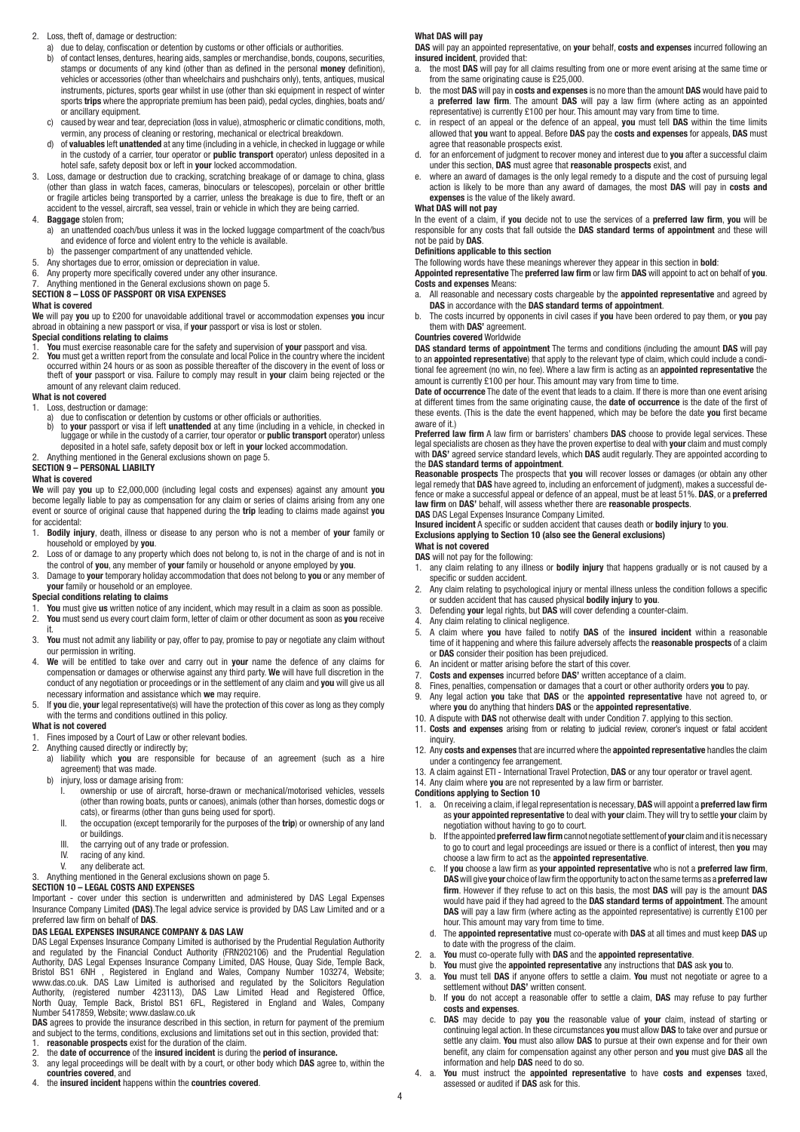### 2. Loss, theft of, damage or destruction:

- a) due to delay, confiscation or detention by customs or other officials or authorities.
- b) of contact lenses, dentures, hearing aids, samples or merchandise, bonds, coupons, securities, stamps or documents of any kind (other than as defined in the personal **money** definition), vehicles or accessories (other than wheelchairs and pushchairs only), tents, antiques, musical instruments, pictures, sports gear whilst in use (other than ski equipment in respect of winter sports **trips** where the appropriate premium has been paid), pedal cycles, dinghies, boats and/ or ancillary equipment.
- c) caused by wear and tear, depreciation (loss in value), atmospheric or climatic conditions, moth, vermin, any process of cleaning or restoring, mechanical or electrical breakdown.
	- d) of **valuables** left **unattended** at any time (including in a vehicle, in checked in luggage or while in the custody of a carrier, tour operator or **public transport** operator) unless deposited in a hotel safe, safety deposit box or left in **your** locked accommodation.
- 3. Loss, damage or destruction due to cracking, scratching breakage of or damage to china, glass (other than glass in watch faces, cameras, binoculars or telescopes), porcelain or other brittle or fragile articles being transported by a carrier, unless the breakage is due to fire, theft or an accident to the vessel, aircraft, sea vessel, train or vehicle in which they are being carried.

#### 4. **Baggage** stolen from;

- a) an unattended coach/bus unless it was in the locked luggage compartment of the coach/bus and evidence of force and violent entry to the vehicle is available.
- b) the passenger compartment of any unattended vehicle.
- 5. Any shortages due to error, omission or depreciation in value.<br>6. Any property more specifically covered under any other insur-
- 6. Any property more specifically covered under any other insurance.<br>7. Anything mentioned in the General exclusions shown on page 5
- 7. Anything mentioned in the General exclusions shown on page 5.

# **SECTION 8 – LOSS OF PASSPORT OR VISA EXPENSES**

# **What is covered**

**We** will pay **you** up to £200 for unavoidable additional travel or accommodation expenses **you** incur abroad in obtaining a new passport or visa, if **your** passport or visa is lost or stolen.

#### **Special conditions relating to claims**

1. **You** must exercise reasonable care for the safety and supervision of **your** passport and visa.<br>2. **You** must get a written report from the consulate and local Police in the country where the inc 2. **You** must get a written report from the consulate and local Police in the country where the incident occurred within 24 hours or as soon as possible thereafter of the discovery in the event of loss or theft of **your** passport or visa. Failure to comply may result in **your** claim being rejected or the amount of any relevant claim reduced.

# **What is not covered**

- 
- 1. Loss, destruction or damage:<br>a) due to confiscation or det<br>b) to **vour** passport or visa
- as, aesuatation or daringe.<br>
due to confiscation or detention by customs or other officials or authorities.<br>
to **your** passport or visa if left **unattended** at any time (including in a vehicle, in checked in b) to **your** passport or visa if left **unattended** at any time (including in a vehicle, in checked in luggage or while in the custody of a carrier, tour operator or **public transport** operator) unless deposited in a hotel safe, safety deposit box or left in **your** locked accommodation. 2. Anything mentioned in the General exclusions shown on page 5.

# **SECTION 9 – PERSONAL LIABILTY**

# **What is covered**

**We** will pay **you** up to £2,000,000 (including legal costs and expenses) against any amount **you** become legally liable to pay as compensation for any claim or series of claims arising from any one event or source of original cause that happened during the **trip** leading to claims made against **you**  for accidental:

- 1. **Bodily injury**, death, illness or disease to any person who is not a member of **your** family or household or employed by **you**.
- 2. Loss of or damage to any property which does not belong to, is not in the charge of and is not in the control of **you**, any member of **your** family or household or anyone employed by **you**.
- 3. Damage to **your** temporary holiday accommodation that does not belong to **you** or any member of **your** family or household or an employee.

# **Special conditions relating to claims**

- 
- 1. **You** must give **us** written notice of any incident, which may result in a claim as soon as possible. 2. **You** must send us every court claim form, letter of claim or other document as soon as **you** receive it.
- 3. **You** must not admit any liability or pay, offer to pay, promise to pay or negotiate any claim without our permission in writing.
- 4. **We** will be entitled to take over and carry out in **your** name the defence of any claims for compensation or damages or otherwise against any third party. **We** will have full discretion in the conduct of any negotiation or proceedings or in the settlement of any claim and **you** will give us all necessary information and assistance which **we** may require.
- 5. If **you** die, **your** legal representative(s) will have the protection of this cover as long as they comply with the terms and conditions outlined in this policy.

# **What is not covered**

1. Fines imposed by a Court of Law or other relevant bodies.

#### 2. Anything caused directly or indirectly by;

- a) liability which **you** are responsible for because of an agreement (such as a hire agreement) that was made.<br>b) injury, loss or damage arisin
- injury, loss or damage arising from:
- I. ownership or use of aircraft, horse-drawn or mechanical/motorised vehicles, vessels (other than rowing boats, punts or canoes), animals (other than horses, domestic dogs or cats), or firearms (other than guns being used for sport).
	- II. the occupation (except temporarily for the purposes of the **trip**) or ownership of any land
	- or buildings.
	- III. the carrying out of any trade or profession.<br>IV racing of any kind
	- racing of any kind.
- V. any deliberate act.<br>3 Anything mentioned in the G.

# 3. Anything mentioned in the General exclusions shown on page 5.

# **SECTION 10 – LEGAL COSTS AND EXPENSES**

Important - cover under this section is underwritten and administered by DAS Legal Expenses Insurance Company Limited **(DAS)**.The legal advice service is provided by DAS Law Limited and or a preferred law firm on behalf of **DAS**.

# **DAS LEGAL EXPENSES INSURANCE COMPANY & DAS LAW**

DAS Legal Expenses Insurance Company Limited is authorised by the Prudential Regulation Authority<br>and regulated by the Financial Conduct Authority (FRN202106) and the Prudential Regulation<br>Authority, DAS Legal Expenses Ins Bristol BS1 6NH , Registered in England and Wales, Company Number 103274, Website;<br>www.das.co.uk. DAS Law Limited is authorised and regulated by the Solicitors Regulation<br>Authority, (registered number 423113), DAS Law Limi

**DAS** agrees to provide the insurance described in this section, in return for payment of the premium and subject to the terms, conditions, exclusions and limitations set out in this section, provided that:

- 1. **reasonable prospects** exist for the duration of the claim.
- 2. the **date of occurrence** of the **insured incident** is during the **period of insurance.**<br>3. any legal proceedings will be dealt with by a court, or other body which **DAS** agree
- any legal proceedings will be dealt with by a court, or other body which DAS agree to, within the **countries covered**, and
- 4. the **insured incident** happens within the **countries covered**.

# **What DAS will pay**

**DAS** will pay an appointed representative, on **your** behalf, **costs and expenses** incurred following an **insured incident**, provided that:

- a. the most **DAS** will pay for all claims resulting from one or more event arising at the same time or from the same originating cause is £25,000.
- b. the most **DAS** will pay in **costs and expenses** is no more than the amount **DAS** would have paid to a **preferred law firm**. The amount **DAS** will pay a law firm (where acting as an appointed representative) is currently £100 per hour. This amount may vary from time to time.
- c. in respect of an appeal or the defence of an appeal, **you** must tell **DAS** within the time limits allowed that **you** want to appeal. Before **DAS** pay the **costs and expenses** for appeals, **DAS** must agree that reasonable prospects exist.
- for an enforcement of judgment to recover money and interest due to you after a successful claim under this section, **DAS** must agree that **reasonable prospects** exist, and
- where an award of damages is the only legal remedy to a dispute and the cost of pursuing legal action is likely to be more than any award of damages, the most **DAS** will pay in **costs and expenses** is the value of the likely award.

#### **What DAS will not pay**

In the event of a claim, if **you** decide not to use the services of a **preferred law firm**, **you** will be responsible for any costs that fall outside the **DAS standard terms of appointment** and these will not be paid by **DAS**.

### **Definitions applicable to this section**

The following words have these meanings wherever they appear in this section in **bold**:

**Appointed representative** The **preferred law firm** or law firm **DAS** will appoint to act on behalf of **you**. **Costs and expenses** Means:

- a. All reasonable and necessary costs chargeable by the **appointed representative** and agreed by **DAS** in accordance with the **DAS standard terms of appointment**.
- b. The costs incurred by opponents in civil cases if **you** have been ordered to pay them, or **you** pay them with **DAS'** agreement.

# **Countries covered** Worldwide

**DAS standard terms of appointment** The terms and conditions (including the amount **DAS** will pay to an **appointed representative**) that apply to the relevant type of claim, which could include a conditional fee agreement (no win, no fee). Where a law firm is acting as an **appointed representative** the amount is currently £100 per hour. This amount may vary from time to time.

**Date of occurrence** The date of the event that leads to a claim. If there is more than one event arising at different times from the same originating cause, the **date of occurrence** is the date of the first of these events. (This is the date the event happened, which may be before the date **you** first became aware of it.)

**Preferred law firm** A law firm or barristers' chambers **DAS** choose to provide legal services. These legal specialists are chosen as they have the proven expertise to deal with your claim and must comply<br>with DAS' agreed service standard levels, which DAS audit regularly. They are appointed according to the **DAS standard terms of appointment**.

**Reasonable prospects** The prospects that **you** will recover losses or damages (or obtain any other<br>legal remedy that **DAS** have agreed to, including an enforcement of judgment), makes a successful de-<br>fence or make a succ **law firm** on **DAS'** behalf, will assess whether there are **reasonable prospects**.

# **DAS** DAS Legal Expenses Insurance Company Limited. **Insured incident** A specific or sudden accident that causes death or **bodily injury** to **you**. **Exclusions applying to Section 10 (also see the General exclusions)**

# **What is not covered**

# **DAS** will not pay for the following:

- 1. any claim relating to any illness or **bodily injury** that happens gradually or is not caused by a specific or sudden accident.
- 2. Any claim relating to psychological injury or mental illness unless the condition follows a specific or sudden accident that has caused physical **bodily injury** to **you**.
- 3. Defending **your** legal rights, but **DAS** will cover defending a counter-claim.
- 4. Any claim relating to clinical negligence.
- 5. A claim where **you** have failed to notify **DAS** of the **insured incident** within a reasonable time of it happening and where this failure adversely affects the **reasonable prospects** of a claim or **DAS** consider their position has been prejudiced.
- 6. An incident or matter arising before the start of this cover.<br>7. Costs and expenses incurred before DAS' written accept
- 7. **Costs and expenses** incurred before **DAS'** written acceptance of a claim.
- 8. Fines, penalties, compensation or damages that a court or other authority orders **you** to pay.<br>9. Any legal action **you** take that **DAS** or the **annointed representative** have not agreed.
- 9. Any legal action **you** take that **DAS** or the **appointed representative** have not agreed to, or where **you** do anything that hinders **DAS** or the **appointed representative**.
- 10. A dispute with **DAS** not otherwise dealt with under Condition 7. applying to this section.
- 11. **Costs and expenses** arising from or relating to judicial review, coroner's inquest or fatal accident inquiry.
- 12. Any **costs and expenses** that are incurred where the **appointed representative** handles the claim under a contingency fee arrangement.
	- 13. A claim against ETI International Travel Protection, **DAS** or any tour operator or travel agent.
	- 14. Any claim where **you** are not represented by a law firm or barrister.

#### **Conditions applying to Section 10**

4

- 1. a. On receiving a claim, if legal representation is necessary, **DAS** will appoint a **preferred law firm** as **your appointed representative** to deal with **your** claim. They will try to settle **your** claim by negotiation without having to go to court.
- b. If the appointed **preferred law firm** cannot negotiate settlement of **your** claim and it is necessary to go to court and legal proceedings are issued or there is a conflict of interest, then **you** may choose a law firm to act as the **appointed representative**.
- c. If **you** choose a law firm as **your appointed representative** who is not a **preferred law firm**, **DAS** will give **your** choice of law firm the opportunity to act on the same terms as a **preferred law firm**. However if they refuse to act on this basis, the most **DAS** will pay is the amount **DAS** would have paid if they had agreed to the **DAS standard terms of appointment**. The amount **DAS** will pay a law firm (where acting as the appointed representative) is currently £100 per hour. This amount may vary from time to time.
	- d. The **appointed representative** must co-operate with **DAS** at all times and must keep **DAS** up to date with the progress of the claim.
- 2. a. **You** must co-operate fully with **DAS** and the **appointed representative**.
- b. **You** must give the **appointed representative** any instructions that **DAS** ask **you** to. 3. a. **You** must tell **DAS** if anyone offers to settle a claim. **You** must not negotiate or agree to a
- settlement without **DAS'** written consent. b. If **you** do not accept a reasonable offer to settle a claim, **DAS** may refuse to pay further **costs and expenses**.
- c. **DAS** may decide to pay **you** the reasonable value of **your** claim, instead of starting or continuing legal action. In these circumstances **you** must allow **DAS** to take over and pursue or settle any claim. **You** must also allow **DAS** to pursue at their own expense and for their own benefit, any claim for compensation against any other person and **you** must give **DAS** all the information and help **DAS** need to do so.
- 4. a. **You** must instruct the **appointed representative** to have **costs and expenses** taxed, assessed or audited if **DAS** ask for this.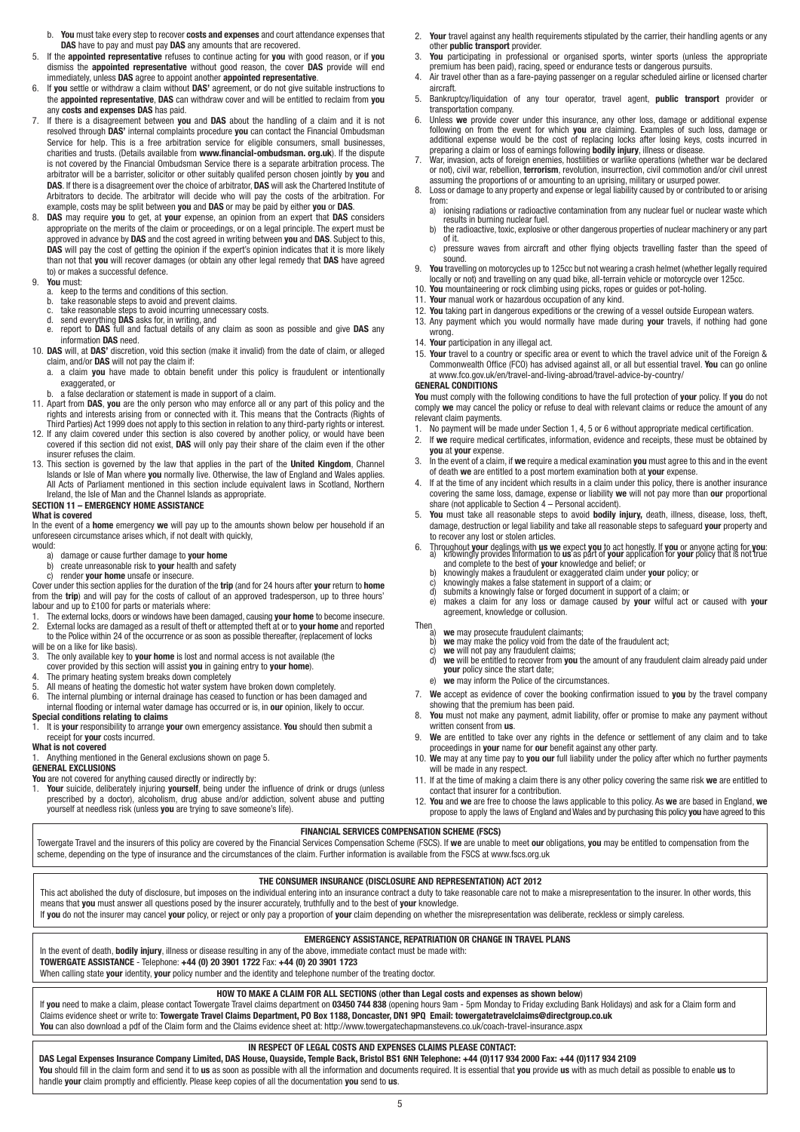- b. **You** must take every step to recover **costs and expenses** and court attendance expenses that **DAS** have to pay and must pay **DAS** any amounts that are recovered.<br> **F** If the **annointed representative** refuses to continue acting for you with
- 5. If the **appointed representative** refuses to continue acting for **you** with good reason, or if **you** dismiss the **appointed representative** without good reason, the cover **DAS** provide will end immediately, unless **DAS** agree to appoint another **appointed representative**.
- 6. If **you** settle or withdraw a claim without **DAS'** agreement, or do not give suitable instructions to the **appointed representative**, **DAS** can withdraw cover and will be entitled to reclaim from **you** any **costs and expenses DAS** has paid.
- 7. If there is a disagreement between **you** and **DAS** about the handling of a claim and it is not resolved through **DAS'** internal complaints procedure **you** can contact the Financial Ombudsman Service for help. This is a free arbitration service for eligible consumers, small businesses, charities and trusts. (Details available from **www.financial-ombudsman. org.uk**). If the dispute is not covered by the Financial Ombudsman Service there is a separate arbitration process. The arbitrator will be a barrister, solicitor or other suitably qualifed person chosen jointly by **you** and **DAS**. If there is a disagreement over the choice of arbitrator, **DAS** will ask the Chartered Institute of Arbitrators to decide. The arbitrator will decide who will pay the costs of the arbitration. For example, costs may be split between **you** and **DAS** or may be paid by either **you** or **DAS**.
- 8. **DAS** may require **you** to get, at **your** expense, an opinion from an expert that **DAS** considers appropriate on the merits of the claim or proceedings, or on a legal principle. The expert must be approved in advance by **DAS** and the cost agreed in writing between **you** and **DAS**. Subject to this, **DAS** will pay the cost of getting the opinion if the expert's opinion indicates that it is more likely than not that **you** will recover damages (or obtain any other legal remedy that **DAS** have agreed to) or makes a successful defence.

- 9. **You** must: a. keep to the terms and conditions of this section.
	- b. take reasonable steps to avoid and prevent claims.<br>
	c. take reasonable steps to avoid incurring unnecessary costs.<br>
	d. send everything **DAS** asks for, in writing, and
	-
- d. send everything **DAS** asks for, in writing, and e. report to **DAS** full and factual details of any claim as soon as possible and give **DAS** any information **DAS** need.
- 10. **DAS** will, at **DAS'** discretion, void this section (make it invalid) from the date of claim, or alleged claim, and/or **DAS** will not pay the claim if:
- a. a claim **you** have made to obtain benefit under this policy is fraudulent or intentionally exaggerated or
- b. a false declaration or statement is made in support of a claim.
- 11. Apart from **DAS**, **you** are the only person who may enforce all or any part of this policy and the
- rights and interests arising from or connected with it. This means that the Contracts (Rights of<br>Third Parties) Act 1999 does not apply to this section in relation to any third-party rights or interest.<br>12. If any claim co covered if this section did not exist, **DAS** will only pay their share of the claim even if the other insurer refuses the claim.
- 13. This section is governed by the law that applies in the part of the **United Kingdom**, Channel Islands or Isle of Man where **you** normally live. Otherwise, the law of England and Wales applies. All Acts of Parliament mentioned in this section include equivalent laws in Scotland, Northern Ireland, the Isle of Man and the Channel Islands as appropriate.

# **SECTION 11 – EMERGENCY HOME ASSISTANCE**

**What is covered**

In the event of a **home** emergency **we** will pay up to the amounts shown below per household if an unforeseen circumstance arises which, if not dealt with quickly, would:

- a) damage or cause further damage to **your home**
- b) create unreasonable risk to **your** health and safety
- 

c) render **your home** unsafe or insecure. Cover under this section applies for the duration of the **trip** (and for 24 hours after **your** return to **home**  from the **trip**) and will pay for the costs of callout of an approved tradesperson, up to three hours' labour and up to £100 for parts or materials where:

- 1. The external locks, doors or windows have been damaged, causing **your home** to become insecure.<br>2. External locks are damaged as a result of theft or attempted theft at or to **your home** and reported
- to the Police within 24 of the occurrence or as soon as possible thereafter, (replacement of locks
- will be on a like for like basis).<br>3. The only available key to **v**
- 3. The only available key to **your home** is lost and normal access is not available (the
- cover provided by this section will assist **you** in gaining entry to **your home**).
- 4. The primary heating system breaks down completely<br>5. All means of heating the domestic hot water system h
- 5. All means of heating the domestic hot water system have broken down completely.<br>6. The internal plumbing or internal drainage has ceased to function or has been dama
- The internal plumbing or internal drainage has ceased to function or has been damaged and internal flooding or internal water damage has occurred or is, in **our** opinion, likely to occur.
- **Special conditions relating to claims** 1. It is **your** responsibility to arrange **your** own emergency assistance. **You** should then submit a
- **What is not covered**

1. Anything mentioned in the General exclusions shown on page 5.

#### **GENERAL EXCLUSIONS**

**You** are not covered for anything caused directly or indirectly by: 1. **Your** suicide, deliberately injuring **yourself**, being under the influence of drink or drugs (unless prescribed by a doctor), alcoholism, drug abuse and/or addiction, solvent abuse and putting yourself at needless risk (unless **you** are trying to save someone's life).

- 2. **Your** travel against any health requirements stipulated by the carrier, their handling agents or any other **public transport** provider.
- 3. **You** participating in professional or organised sports, winter sports (unless the appropriate premium has been paid), racing, speed or endurance tests or dangerous pursuits.
- 4. Air travel other than as a fare-paying passenger on a regular scheduled airline or licensed charter aircraft.
- 5. Bankruptcy/liquidation of any tour operator, travel agent, **public transport** provider or transportation company.
- 6. Unless **we** provide cover under this insurance, any other loss, damage or additional expense following on from the event for which **you** are claiming. Examples of such loss, damage or additional expense would be the cost of replacing locks after losing keys, costs incurred in preparing a claim or loss of earnings following **bodily injury**, illness or disease.
- 7. War, invasion, acts of foreign enemies, hostilities or warlike operations (whether war be declared or not), civil war, rebellion, **terrorism**, revolution, insurrection, civil commotion and/or civil unrest assuming the proportions of or amounting to an uprising, military or usurped power. 8. Loss or damage to any property and expense or legal liability caused by or contributed to or arising
	- from:<br>a) io
	- a) ionising radiations or radioactive contamination from any nuclear fuel or nuclear waste which results in burning nuclear fuel.<br>b) the radioactive, toxic, explosive or other dangerous properties of nuclear machinery or a
	- b) the radioactive, toxic, explosive or other dangerous properties of nuclear machinery or any part of it.<br>c) pressure waves from aircraft and other flying objects travelling faster than the speed of pressure waves from aircraft and other flying objects travelling faster than the speed of
- sound.<br>Sound Pourtravell 9. **You** travelling on motorcycles up to 125cc but not wearing a crash helmet (whether legally required locally or not) and travelling on any quad bike, all-terrain vehicle or motorcycle over 125cc.
- 10. **You** mountaineering or rock climbing using picks, ropes or guides or pot-holing.
- 11. **Your** manual work or hazardous occupation of any kind.
- 12. **You** taking part in dangerous expeditions or the crewing of a vessel outside European waters.
- 13. Any payment which you would normally have made during **your** travels, if nothing had gone wrong.
- 14. **Your** participation in any illegal act.
- 15. **Your** travel to a country or specific area or event to which the travel advice unit of the Foreign & Commonwealth Office (FCO) has advised against all, or all but essential travel. **You** can go online at www.fco.gov.uk/en/travel-and-living-abroad/travel-advice-by-country/

# **GENERAL CONDITIONS**

**You** must comply with the following conditions to have the full protection of **your** policy. If **you** do not comply **we** may cancel the policy or refuse to deal with relevant claims or reduce the amount of any relevant claim payments.

- 1. No payment will be made under Section 1, 4, 5 or 6 without appropriate medical certification.
- 2. If **we** require medical certificates, information, evidence and receipts, these must be obtained by **you** at **your** expense.
- 3. In the event of a claim, if **we** require a medical examination **you** must agree to this and in the event of death **we** are entitled to a post mortem examination both at **your** expense.
- 4. If at the time of any incident which results in a claim under this policy, there is another insurance covering the same loss, damage, expense or liability **we** will not pay more than **our** proportional share (not applicable to Section 4 – Personal accident).
- 5. **You** must take all reasonable steps to avoid **bodily injury,** death, illness, disease, loss, theft, damage, destruction or legal liability and take all reasonable steps to safeguard **your** property and to recover any lost or stolen articles.
- 6. Throughout **your** dealings with **us we** expect **you** to act honestly. If **you** or anyone acting for **you**<br>(a) knowingly provides information to **us** as part of **your** application for **your** policy that is not true<br>(and
	- b) knowingly makes a fraudulent or exaggerated claim under **your** policy; or c) knowingly makes a false statement in support of a claim; or d) submits a knowingly false or forged document in support of a claim; or
	-
	- c) knowingly makes a false statement in support of a claim; or d) submits a knowingly false or forged document in support of a claim; or
	- e) makes a claim for any loss or damage caused by **your** wilful act or caused with **your**

# agreement, knowledge or collusion.<br>Then we may prosecute fraudulent claims

- Thena) **we** may prosecute fraudulent claimants;<br>b) **we** may make the policy void from the d **we** may procedure inducture deminitions<br> **b) we** may make the policy void from the date of the fraudulent act;<br> **c) we** will be entitled to recover from **you** the amount of any fraudul
- 
- c) **we** will not pay any fraudulent claims; d) **we** will be entitled to recover from **you** the amount of any fraudulent claim already paid under **your** policy since the start date;<br>a) we may inform the Police of the
- **your** policy of the clark date,<br>**we** may inform the Police of the circumstances.
- 7. **We** accept as evidence of cover the booking confirmation issued to **you** by the travel company showing that the premium has been paid.
- 8. **You** must not make any payment, admit liability, offer or promise to make any payment without written consent from **us**.
- 9. **We** are entitled to take over any rights in the defence or settlement of any claim and to take proceedings in **your** name for **our** benefit against any other party.
- 10. **We** may at any time pay to **you our** full liability under the policy after which no further payments will be made in any respect.
- 11. If at the time of making a claim there is any other policy covering the same risk **we** are entitled to contact that insurer for a contribution.
- 12. **You** and **we** are free to choose the laws applicable to this policy. As **we** are based in England, **we** propose to apply the laws of England and Wales and by purchasing this policy **you** have agreed to this

# **FINANCIAL SERVICES COMPENSATION SCHEME (FSCS)**

Towergate Travel and the insurers of this policy are covered by the Financial Services Compensation Scheme (FSCS). If **we** are unable to meet **our** obligations, **you** may be entitled to compensation from the scheme, depending on the type of insurance and the circumstances of the claim. Further information is available from the FSCS at www.fscs.org.uk

# **THE CONSUMER INSURANCE (DISCLOSURE AND REPRESENTATION) ACT 2012**

This act abolished the duty of disclosure, but imposes on the individual entering into an insurance contract a duty to take reasonable care not to make a misrepresentation to the insurer. In other words, this means that **you** must answer all questions posed by the insurer accurately, truthfully and to the best of **your** knowledge.

If you do not the insurer may cancel your policy, or reject or only pay a proportion of your claim depending on whether the misrepresentation was deliberate, reckless or simply careless.

# **EMERGENCY ASSISTANCE, REPATRIATION OR CHANGE IN TRAVEL PLANS**

In the event of death, **bodily injury**, illness or disease resulting in any of the above, immediate contact must be made with:

**TOWERGATE ASSISTANCE** - Telephone: **+44 (0) 20 3901 1722** Fax: **+44 (0) 20 3901 1723**

When calling state **your** identity, **your** policy number and the identity and telephone number of the treating doctor.

# **HOW TO MAKE A CLAIM FOR ALL SECTIONS** (**other than Legal costs and expenses as shown below**)

If **you** need to make a claim, please contact Towergate Travel claims department on **03450 744 838** (opening hours 9am - 5pm Monday to Friday excluding Bank Holidays) and ask for a Claim form and Claims evidence sheet or write to: **Towergate Travel Claims Department, PO Box 1188, Doncaster, DN1 9PQ Email: towergatetravelclaims@directgroup.co.uk You** can also download a pdf of the Claim form and the Claims evidence sheet at: http://www.towergatechapmanstevens.co.uk/coach-travel-insurance.aspx

# **IN RESPECT OF LEGAL COSTS AND EXPENSES CLAIMS PLEASE CONTACT:**

**DAS Legal Expenses Insurance Company Limited, DAS House, Quayside, Temple Back, Bristol BS1 6NH Telephone: +44 (0)117 934 2000 Fax: +44 (0)117 934 2109** You should fill in the claim form and send it to us as soon as possible with all the information and documents required. It is essential that you provide us with as much detail as possible to enable us to handle **your** claim promptly and efficiently. Please keep copies of all the documentation **you** send to **us**.

receipt for **your** costs incurred.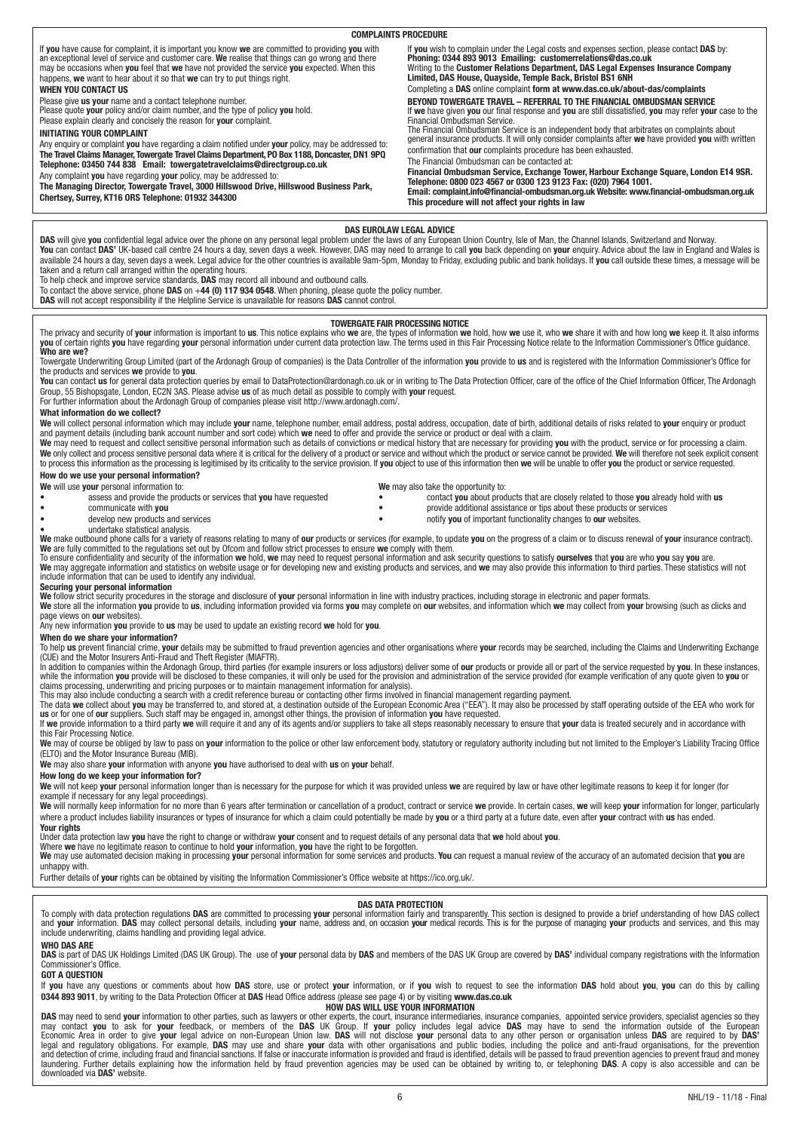#### If **you** have cause for complaint, it is important you know **we** are committed to providing **you** with<br>an exceptional level of service and customer care. **We** realise that things can go wrong and there<br>may be occasions whe happens, **we** want to hear about it so that **we** can try to put things right. **WHEN YOU CONTACT US** Please give **us your** name and a contact telephone number. Please quote **your** policy and/or claim number, and the type of policy **you** hold. Please explain clearly and concisely the reason for **your** complaint. **INITIATING YOUR COMPLAINT** Any enquiry or complaint **you** have regarding a claim notified under **your** policy, may be addressed to: **The Travel Claims Manager, Towergate Travel Claims Department, PO Box 1188, Doncaster, DN1 9PQ Telephone: 03450 744 838 Email: towergatetravelclaims@directgroup.co.uk** Any complaint **you** have regarding **your** policy, may be addressed to: **The Managing Director, Towergate Travel, 3000 Hillswood Drive, Hillswood Business Park, Chertsey, Surrey, KT16 ORS Telephone: 01932 344300** lf you wish to complain under the Legal costs and expenses section, please contact DAS by:<br>Phoning: 0344 893 9013 Emailing: customerrelations@das.co.uk<br>Writing to the Customer Relations Department, DAS Legal Expenses Insur **Limited, DAS House, Quayside, Temple Back, Bristol BS1 6NH** Completing a **DAS** online complaint **form at www.das.co.uk/about-das/complaints BEYOND TOWERGATE TRAVEL – REFERRAL TO THE FINANCIAL OMBUDSMAN SERVICE** If **we** have given **you** our final response and **you** are still dissatisfied, **you** may refer **your** case to the Financial Ombudsman Service.<br>The Financial Ombudsman Service is an independent body that arbitrates on complaints about<br>general insurance products. It will only consider complaints after **we** have provided **you** with writt confirmation that **our** complaints procedure has been exhausted. The Financial Ombudsman can be contacted at: **Financial Ombudsman Service, Exchange Tower, Harbour Exchange Square, London E14 9SR. Telephone: 0800 023 4567 or 0300 123 9123 Fax: (020) 7964 1001. Email: complaint.info@financial-ombudsman.org.uk Website: www.financial-ombudsman.org.uk This procedure will not affect your rights in law COMPLAINTS PROCEDURE**

# **DAS EUROLAW LEGAL ADVICE**

**DAS** will give **you** confidential legal advice over the phone on any personal legal problem under the laws of any European Union Country, Isle of Man, the Channel Islands, Switzerland and Norway.<br>**You** can contact **DAS'** taken and a return call arranged within the operating hours.

To help check and improve service standards, **DAS** may record all inbound and outbound calls.

To contact the above service, phone **DAS** on +**44 (0) 117 934 0548**. When phoning, please quote the policy number.

**DAS** will not accept responsibility if the Helpline Service is unavailable for reasons **DAS** cannot control.

The privacy and security of **your** information is important to **us**. This notice explains who **we** are, the types of information we hold, how we use it, who we share it with and how long we keep it. It also informs<br>**you** o

Towergate Underwriting Group Limited (part of the Ardonagh Group of companies) is the Data Controller of the information **you** provide to **us** and is registered with the Information Commissioner's Office for

the products and services **we** provide to **you**.<br>**You** can contact **us** for general data protection queries by email to DataProtection@ardonagh.co.uk or in writing to The Data Protection Officer, care of the office of the Group, 55 Bishopsgate, London, EC2N 3AS. Please advise **us** of as much detail as possible to comply with **your** request.

For further information about the Ardonagh Group of companies please visit http://www.ardonagh.com/.

# **What information do we collect?**

We will collect personal information which may include your name, telephone number, email address, postal address, occupation, date of birth, additional details of risks related to your enquiry or product and payment details (including bank account number and sort code) which **we** need to offer and provide the service or product or deal with a claim.<br>**We** may need to request and collect sensitive personal information such a

We only collect and process sensitive personal data where it is critical for the delivery of a product or service and without which the product or service cannot be provided. We will therefore not seek explicit consent to process this information as the processing is legitimised by its criticality to the service provision. If you object to use of this information then we will be unable to offer you the product or service requested. **How do we use your personal information?**

**We** will use **your** personal information to: **We** may also take the opportunity to:<br>• **We** may also take the opportunity to: **We** may also take the opportunity to:

• assess and provide the products or services that **you** have requested **•** contact **you** about products that are closely related to those **you** already hold with **us**<br>• communicate with **you** communicate with **you** • communicate with **you interval and the provident of the communicate with you interval assistance or tips about these products or services <b>• provide additional assistance or tips about these products or services**<br>• notify **vou** of important functionality changes to **our** websites

undertake statistical analysis.

We make outbound phone calls for a variety of reasons relating to many of our products or services (for example, to update you on the progress of a claim or to discuss renewal of your insurance contract).

**We** are fully committed to the regulations set out by Ofcom and follow strict processes to ensure **we** comply with them.<br>To ensure confidentiality and security of the information we hold, we may need to request personal i include information that can be used to identify any individual.

**Securing your personal information**<br>We follow strict security procedures in the storage and disclosure of **your** personal information in line with industry practices, including storage in electronic and paper formats.<br>We

Any new information **you** provide to **us** may be used to update an existing record **we** hold for **you**.

# **When do we share your information?**

To help **us** prevent financial crime, **your** details may be submitted to fraud prevention agencies and other organisations where **your** records may be searched, including the Claims and Underwriting Exchange<br>(CUE) and the

claims processing, underwriting and pricing purposes or to maintain management information for analysis).<br>This may also include conducting a search with a credit reference bureau or contacting other firms involved in finan

this Fair Processing Notice.

We raay of course be obliged by law to pass on **your** information to the police or other law enforcement body, statutory or regulatory authority including but not limited to the Employer's Liability Tracing Office (ELTO) and the Motor Insurance Bureau (MIB).

**We** may also share **your** information with anyone **you** have authorised to deal with **us** on **your** behalf.

### **How long do we keep your information for?**

**We** will not keep **your** personal information longer than is necessary for the purpose for which it was provided unless **we** are required by law or have other legitimate reasons to keep it for longer (for example if necessary for any legal proceedings).

We will normally keep information for no more than 6 years after termination or cancellation of a product, contract or service we provide. In certain cases, we will keep your information for longer, particularly where a product includes liability insurances or types of insurance for which a claim could potentially be made by **you** or a third party at a future date, even after **your** contract with **us** has ended. **Your rights**

Under data protection law **you** have the right to change or withdraw **your** consent and to request details of any personal data that **we** hold about **you**.<br>Where **we** have no legitimate reason to continue to hold **your** in unhappy with.

Further details of **your** rights can be obtained by visiting the Information Commissioner's Office website at https://ico.org.uk/.

# **DAS DATA PROTECTION**

To comply with data protection regulations **DAS** are committed to processing **your** personal information fairly and transparently. This section is designed to provide a brief understanding of how DAS collect<br>and **your** inf **WHO DAS ARE**

DAS is part of DAS UK Holdings Limited (DAS UK Group). The use of your personal data by DAS and members of the DAS UK Group are covered by DAS' individual company registrations with the Information Commissioner's Office.

#### **GOT A QUESTION**

If you have any questions or comments about how DAS store, use or protect your information, or if you wish to request to see the information DAS hold about you, you can do this by calling **0344 893 9011**, by writing to the Data Protection Officer at **DAS** Head Office address (please see page 4) or by visiting **www.das.co.uk**

# **HOW DAS WILL USE YOUR INFORMATION**

**DAS** may need to send **your** information to other parties, such as lawyers or other experts, the court, insurance intermediaries, insurance companies, appointed service providers, specialist agencies so they may contact laundering. Further details explaining how the information held by fraud prevention agencies may be used can be obtained by writing to, or telephoning **DAS**. A copy is also accessible and can be<br>downloaded via **DAS'** websi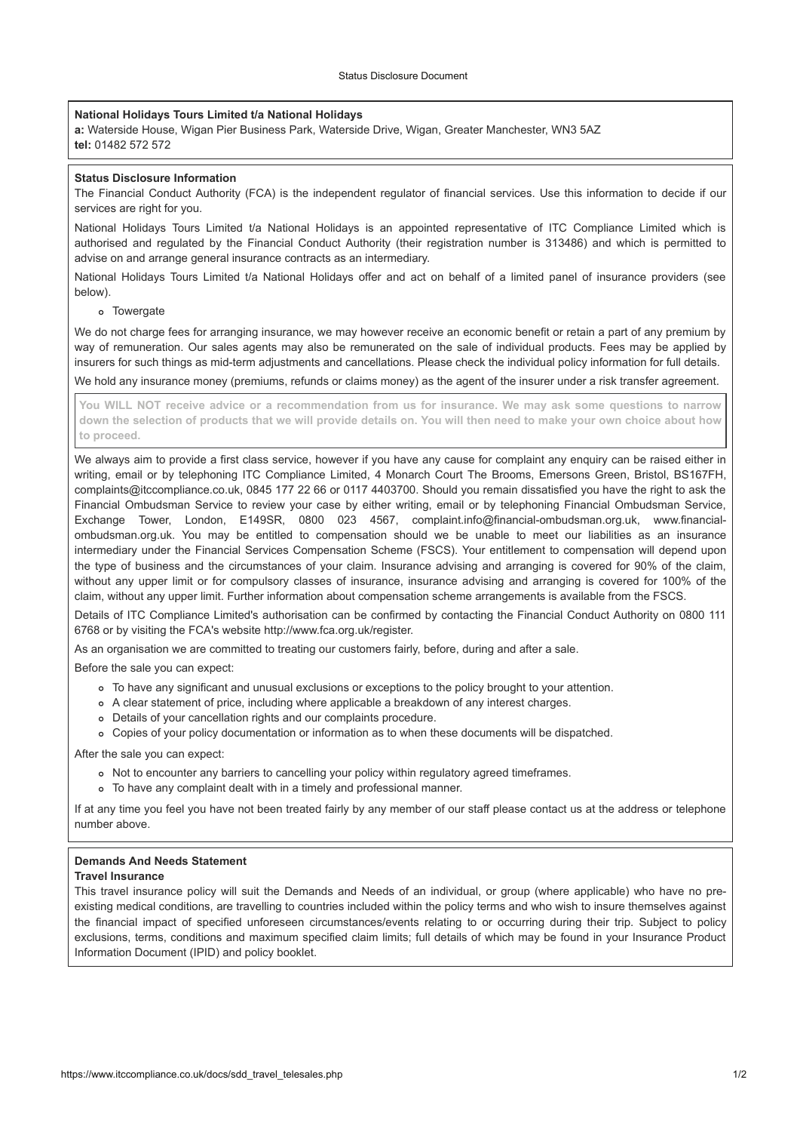# **National Holidays Tours Limited t/a National Holidays National Holidays**

You are over the maximum specified age at the time of your trip

a: Waterside House, Wigan Pier Business Park, Waterside Drive, Wigan, Greater Manchester, WN3 5AZ **tel:** 01482 572 572 **Status Disclosure Information** a. *viale* side nouse

#### **The Financial Conduct Authority (FCA) is the independent regulator (FCA) is the independent regulator of financial services. Use the independent regulator of**  $\mathcal{L}$  **our financial services. Use this information to decide** If after purchasing a policy should you find it does not meet your requirements you have 14 days from the date of issue, or prior  $\vert$  status disclosure imormation If a policy should you find it does not meet you find it does not meet you have 14 days from the date of issue, or prior  $\overline{a}$

unded the conduct Authority (FCA) is the independent regulator of financial services. Use this information to decide if our<br>The Financial Conduct Authority (FCA) is the independent regulator of financial services. Use this  $\vert$  services are right for you.  $\frac{1}{2}$  or do decide to cancel  $\frac{1}{2}$ ,  $\frac{1}{2}$  and  $\frac{1}{2}$  are  $\frac{1}{2}$  and  $\frac{1}{2}$  and  $\frac{1}{2}$  and  $\frac{1}{2}$  and  $\frac{1}{2}$  and  $\frac{1}{2}$  and  $\frac{1}{2}$  and  $\frac{1}{2}$  and  $\frac{1}{2}$  and  $\frac{1}{2}$  and  $\frac{1}{2}$ 

National Holidays Tours Limited t/a National Holidays is an appointed representative of ITC Compliance Limited which is authorised and regulated by the Financial Conduct Authority (their registration number is 313486) and which is permitted to  $\vert$  advise on and arrange general insurance contracts as an intermediary.

National Holidays Tours Limited t/a National Holidays offer and act on behalf of a limited panel of insurance providers (see below). (phone **020 7008 1500** or visit their website at **www.fco.gov.uk**). below).  $\blacksquare$  responsibility to do this and no information or guidance will be provided by ourselves in this regard.

# o Towergate fees for arranging insurance, we may how we may how receive an economic benefit or retain a part of any premium by the new premium by the new premium by the new premium by the new premium by the new premium by

We do not charge fees for arranging insurance, we may however receive an economic benefit or retain a part of any premium by  $\vert$ we do not only become arranging includios, we may newever receive an economic scholar or retain a part or any promain by<br>way of remuneration. Our sales agents may also be remunerated on the sale of individual products. Fee insurers for such things as mid-term adjustments and cancellations. Please check the individual policy information for full details. of these third parties can be found below. For the purpose of where you can be sent and the purpose of where  $\frac{1}{2}$  $\frac{1}{2}$  insurance for such the purposes of monitoring and  $\frac{1}{2}$ of these third parties can be found below. For full details of where your information will be sent and the purpose of such data

 $\mid$  We hold any insurance money (premiums, refunds or claims money) as the agent of the insurer under a risk transfer agreement.

You WILL NOT receive advice or a recommendation from us for insurance. We may ask some questions to narrow down the selection of products that we will provide details on. You will then need to make your own choice about how **to proceed.**  $\kappa$  for proceed. The provide a first class service, however if  $\kappa$  and  $\kappa$  and be raised either in  $\kappa$ Your information of products that we will provide details on. Tou will then heed to make your own choice about information held and has been processed. If you would like to exercise any of these rights or have any concerns with how with how with how with how with how with how with how with how with how with how with how with how wi  $\frac{1}{\sqrt{2}}$ information how it has been processed.

We always aim to provide a first class service, however if you have any cause for complaint any enquiry can be raised either in writing, email or by telephoning ITC Compliance Limited, 4 Monarch Court The Brooms, Emersons Green, Bristol, BS167FH, complaints@itcompliance.co.uk, 0845 177 22 66 or 0117 4403700. Should you remain dissatisfied you have the right to ask the Financial Ombudsman Service to review your case by either writing, email or by telephoning Financial Ombudsman Service, Exchange Tower, London, E149SR, 0800 023 4567, complaint.info@financial-ombudsman.org.uk, www.financialombudsman.org.uk. You may be entitled to compensation should we be unable to meet our liabilities as an insurance intermediary under the Financial Services Compensation Scheme (FSCS). Your entitlement to compensation will depend upon the type of business and the circumstances of your claim. Insurance advising and arranging is covered for 90% of the claim, without any upper limit or for compulsory classes of insurance, insurance advising and arranging is covered for 100% of the claim, without any upper limit. Further information about compensation scheme arrangements is available from the FSCS. intermediary under  $\vert$  the type or busines

> Details of ITC Compliance Limited's authorisation can be confirmed by contacting the Financial Conduct Authority on 0800 111  $\frac{1}{2}$  betains of i.i.d. compliance Emmed's additions<br>another of the communication of contacting the FCA's website http://www.fca.org.uk/register.

As an organisation we are committed to treating our customers fairly, before, during and after a sale.  $\sim$   $\sim$  an organisation we are committed to treating our customers fairly, belore, during and arter a sale.  $\overline{\phantom{a}}$   $\overline{\phantom{a}}$  and  $\overline{\phantom{a}}$  and  $\overline{\phantom{a}}$  $\frac{1}{\sqrt{2}}$  is the product of the product received that  $\frac{1}{\sqrt{2}}$ 

Before the sale you can expect:  $\vert$  before the sale you

- $\vert$  o To have any significant and unusual exclusions or exceptions to the policy brought to your attention.
	- A clear statement of price, including where applicable a breakdown of any interest charges.<br>This document of price, including where applicable a breakdown of any interest charges.
	- The call statement of production rights and our complaints procedure.<br>● Details of your cancellation rights and our complaints procedure.
	- o Copies of your policy documentation or information as to when these documents will be dispatched.

After the sale you can expect:

- Not to encounter any barriers to cancelling your policy within regulatory agreed timeframes. To have any complaint dealt with in a timely and professional manner.
- $\circ$  To have any complaint dealt with in a timely and professional manner.

If at any time you feel you have not been treated fairly by any member of our staff please contact us at the address or telephone number above.

# **Demands And Needs Statement Demands And Needs Statement** This travel insurance policy will suit the Demands and Needs of and Needs of an individual, or group (where applicable) will suit the Demands and Demands and Demands applicable, or group (where applicable) who have no pre-

# **Travel Insurance**

This travel insurance policy will suit the Demands and Needs of an individual, or group (where applicable) who have no preexisting medical conditions, are travelling to countries included within the policy terms and who wish to insure themselves against the financial impact of specified unforeseen circumstances/events relating to or occurring during their trip. Subject to policy exclusions, terms, conditions and maximum specified claim limits; full details of which may be found in your Insurance Product Information Document (IPID) and policy booklet. **Important Information**